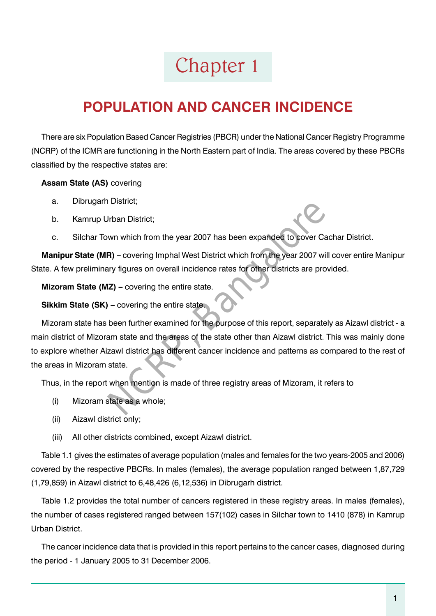## Chapter 1

## **Population and Cancer Incidence**

There are six Population Based Cancer Registries (PBCR) under the National Cancer Registry Programme (NCRP) of the ICMR are functioning in the North Eastern part of India. The areas covered by these PBCRs classified by the respective states are:

## **Assam State (AS)** covering

- a. Dibrugarh District;
- b. Kamrup Urban District;
- c. Silchar Town which from the year 2007 has been expanded to cover Cachar District.

**Manipur State (MR) –** covering Imphal West District which from the year 2007 will cover entire Manipur State. A few preliminary figures on overall incidence rates for other districts are provided.

**Mizoram State (MZ) –** covering the entire state.

**Sikkim State (SK) –** covering the entire state.

Mizoram state has been further examined for the purpose of this report, separately as Aizawl district - a main district of Mizoram state and the areas of the state other than Aizawl district. This was mainly done to explore whether Aizawl district has different cancer incidence and patterns as compared to the rest of the areas in Mizoram state. District;<br>
Urban District;<br>
wn which from the year 2007 has been expanded to cover Care<br>
(A) – covering Imphal West District which from the year 2007 will<br>
they figures on overall incidence rates for other districts are pr

Thus, in the report when mention is made of three registry areas of Mizoram, it refers to

- (i) Mizoram state as a whole;
- (ii) Aizawl district only;
- (iii) All other districts combined, except Aizawl district.

Table 1.1 gives the estimates of average population (males and females for the two years-2005 and 2006) covered by the respective PBCRs. In males (females), the average population ranged between 1,87,729 (1,79,859) in Aizawl district to 6,48,426 (6,12,536) in Dibrugarh district.

Table 1.2 provides the total number of cancers registered in these registry areas. In males (females), the number of cases registered ranged between 157(102) cases in Silchar town to 1410 (878) in Kamrup Urban District.

The cancer incidence data that is provided in this report pertains to the cancer cases, diagnosed during the period - 1 January 2005 to 31 December 2006.